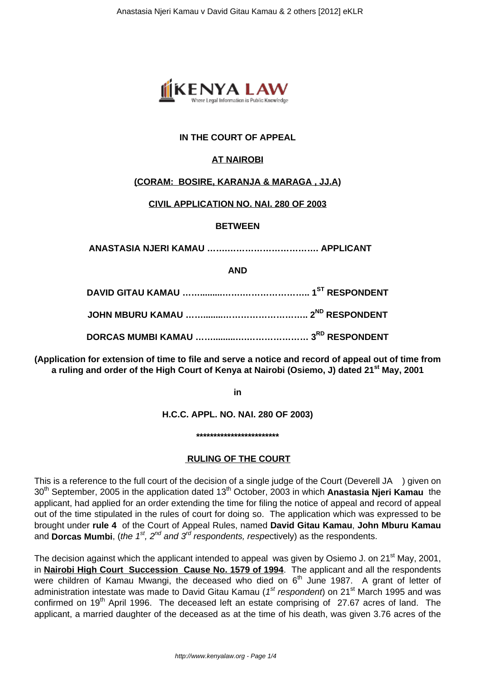

# **IN THE COURT OF APPEAL**

# **AT NAIROBI**

#### **(CORAM: BOSIRE, KARANJA & MARAGA , JJ.A)**

#### **CIVIL APPLICATION NO. NAI. 280 OF 2003**

#### **BETWEEN**

**ANASTASIA NJERI KAMAU …….…………………………. APPLICANT**

**AND**

**(Application for extension of time to file and serve a notice and record of appeal out of time from a ruling and order of the High Court of Kenya at Nairobi (Osiemo, J) dated 21st May, 2001**

**in**

**H.C.C. APPL. NO. NAI. 280 OF 2003)**

**\*\*\*\*\*\*\*\*\*\*\*\*\*\*\*\*\*\*\*\*\*\*\*\***

#### **RULING OF THE COURT**

This is a reference to the full court of the decision of a single judge of the Court (Deverell JA ) given on 30<sup>th</sup> September, 2005 in the application dated 13<sup>th</sup> October, 2003 in which **Anastasia Njeri Kamau** the applicant, had applied for an order extending the time for filing the notice of appeal and record of appeal out of the time stipulated in the rules of court for doing so. The application which was expressed to be brought under **rule 4** of the Court of Appeal Rules, named **David Gitau Kamau**, **John Mburu Kamau** and **Dorcas Mumbi**, (the 1<sup>st</sup>, 2<sup>nd</sup> and 3<sup>rd</sup> respondents, respectively) as the respondents.

The decision against which the applicant intended to appeal was given by Osiemo J. on 21<sup>st</sup> May, 2001, in **Nairobi High Court Succession Cause No. 1579 of 1994**. The applicant and all the respondents were children of Kamau Mwangi, the deceased who died on  $6<sup>th</sup>$  June 1987. A grant of letter of administration intestate was made to David Gitau Kamau (1<sup>st</sup> respondent) on 21<sup>st</sup> March 1995 and was confirmed on 19<sup>th</sup> April 1996. The deceased left an estate comprising of 27.67 acres of land. The applicant, a married daughter of the deceased as at the time of his death, was given 3.76 acres of the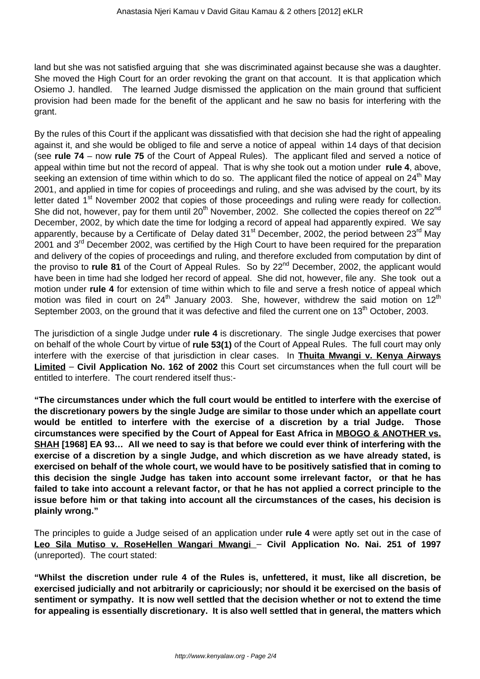land but she was not satisfied arguing that she was discriminated against because she was a daughter. She moved the High Court for an order revoking the grant on that account. It is that application which Osiemo J. handled. The learned Judge dismissed the application on the main ground that sufficient provision had been made for the benefit of the applicant and he saw no basis for interfering with the grant.

By the rules of this Court if the applicant was dissatisfied with that decision she had the right of appealing against it, and she would be obliged to file and serve a notice of appeal within 14 days of that decision (see **rule 74** – now **rule 75** of the Court of Appeal Rules). The applicant filed and served a notice of appeal within time but not the record of appeal. That is why she took out a motion under **rule 4**, above, seeking an extension of time within which to do so. The applicant filed the notice of appeal on  $24<sup>th</sup>$  May 2001, and applied in time for copies of proceedings and ruling, and she was advised by the court, by its letter dated 1<sup>st</sup> November 2002 that copies of those proceedings and ruling were ready for collection. She did not, however, pay for them until 20<sup>th</sup> November, 2002. She collected the copies thereof on 22<sup>nd</sup> December, 2002, by which date the time for lodging a record of appeal had apparently expired. We say apparently, because by a Certificate of Delay dated  $31<sup>st</sup>$  December, 2002, the period between  $23<sup>rd</sup>$  May 2001 and 3<sup>rd</sup> December 2002, was certified by the High Court to have been required for the preparation and delivery of the copies of proceedings and ruling, and therefore excluded from computation by dint of the proviso to **rule 81** of the Court of Appeal Rules. So by 22<sup>nd</sup> December, 2002, the applicant would have been in time had she lodged her record of appeal. She did not, however, file any. She took out a motion under **rule 4** for extension of time within which to file and serve a fresh notice of appeal which motion was filed in court on  $24<sup>th</sup>$  January 2003. She, however, withdrew the said motion on  $12<sup>th</sup>$ September 2003, on the ground that it was defective and filed the current one on 13<sup>th</sup> October, 2003.

The jurisdiction of a single Judge under **rule 4** is discretionary. The single Judge exercises that power on behalf of the whole Court by virtue of **rule 53(1)** of the Court of Appeal Rules. The full court may only interfere with the exercise of that jurisdiction in clear cases. In **Thuita Mwangi v. Kenya Airways Limited** – **Civil Application No. 162 of 2002** this Court set circumstances when the full court will be entitled to interfere. The court rendered itself thus:-

**"The circumstances under which the full court would be entitled to interfere with the exercise of the discretionary powers by the single Judge are similar to those under which an appellate court would be entitled to interfere with the exercise of a discretion by a trial Judge. Those circumstances were specified by the Court of Appeal for East Africa in MBOGO & ANOTHER vs. SHAH [1968] EA 93… All we need to say is that before we could ever think of interfering with the exercise of a discretion by a single Judge, and which discretion as we have already stated, is exercised on behalf of the whole court, we would have to be positively satisfied that in coming to this decision the single Judge has taken into account some irrelevant factor, or that he has failed to take into account a relevant factor, or that he has not applied a correct principle to the issue before him or that taking into account all the circumstances of the cases, his decision is plainly wrong."**

The principles to guide a Judge seised of an application under **rule 4** were aptly set out in the case of **Leo Sila Mutiso v. RoseHellen Wangari Mwangi** – **Civil Application No. Nai. 251 of 1997** (unreported). The court stated:

**"Whilst the discretion under rule 4 of the Rules is, unfettered, it must, like all discretion, be exercised judicially and not arbitrarily or capriciously; nor should it be exercised on the basis of sentiment or sympathy. It is now well settled that the decision whether or not to extend the time for appealing is essentially discretionary. It is also well settled that in general, the matters which**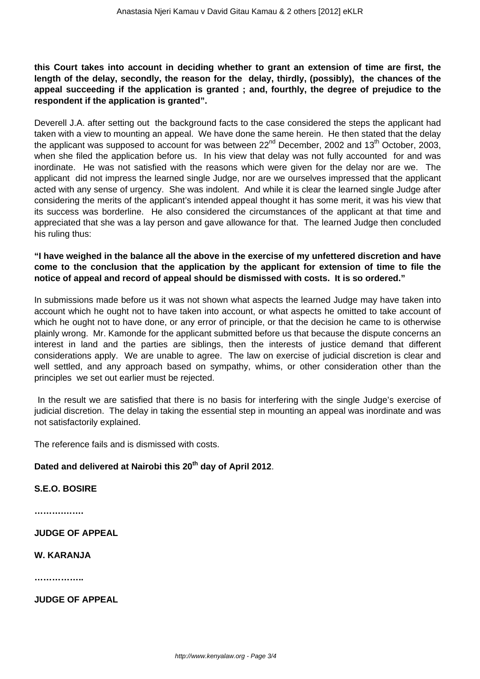### **this Court takes into account in deciding whether to grant an extension of time are first, the length of the delay, secondly, the reason for the delay, thirdly, (possibly), the chances of the appeal succeeding if the application is granted ; and, fourthly, the degree of prejudice to the respondent if the application is granted".**

Deverell J.A. after setting out the background facts to the case considered the steps the applicant had taken with a view to mounting an appeal. We have done the same herein. He then stated that the delay the applicant was supposed to account for was between  $22^{nd}$  December, 2002 and 13<sup>th</sup> October, 2003, when she filed the application before us. In his view that delay was not fully accounted for and was inordinate. He was not satisfied with the reasons which were given for the delay nor are we. The applicant did not impress the learned single Judge, nor are we ourselves impressed that the applicant acted with any sense of urgency. She was indolent. And while it is clear the learned single Judge after considering the merits of the applicant's intended appeal thought it has some merit, it was his view that its success was borderline. He also considered the circumstances of the applicant at that time and appreciated that she was a lay person and gave allowance for that. The learned Judge then concluded his ruling thus:

# **"I have weighed in the balance all the above in the exercise of my unfettered discretion and have come to the conclusion that the application by the applicant for extension of time to file the notice of appeal and record of appeal should be dismissed with costs. It is so ordered."**

In submissions made before us it was not shown what aspects the learned Judge may have taken into account which he ought not to have taken into account, or what aspects he omitted to take account of which he ought not to have done, or any error of principle, or that the decision he came to is otherwise plainly wrong. Mr. Kamonde for the applicant submitted before us that because the dispute concerns an interest in land and the parties are siblings, then the interests of justice demand that different considerations apply. We are unable to agree. The law on exercise of judicial discretion is clear and well settled, and any approach based on sympathy, whims, or other consideration other than the principles we set out earlier must be rejected.

In the result we are satisfied that there is no basis for interfering with the single Judge's exercise of judicial discretion. The delay in taking the essential step in mounting an appeal was inordinate and was not satisfactorily explained.

The reference fails and is dismissed with costs.

# **Dated and delivered at Nairobi this 20th day of April 2012**.

#### **S.E.O. BOSIRE**

**……….…….**

**JUDGE OF APPEAL**

**W. KARANJA**

**……………..**

**JUDGE OF APPEAL**